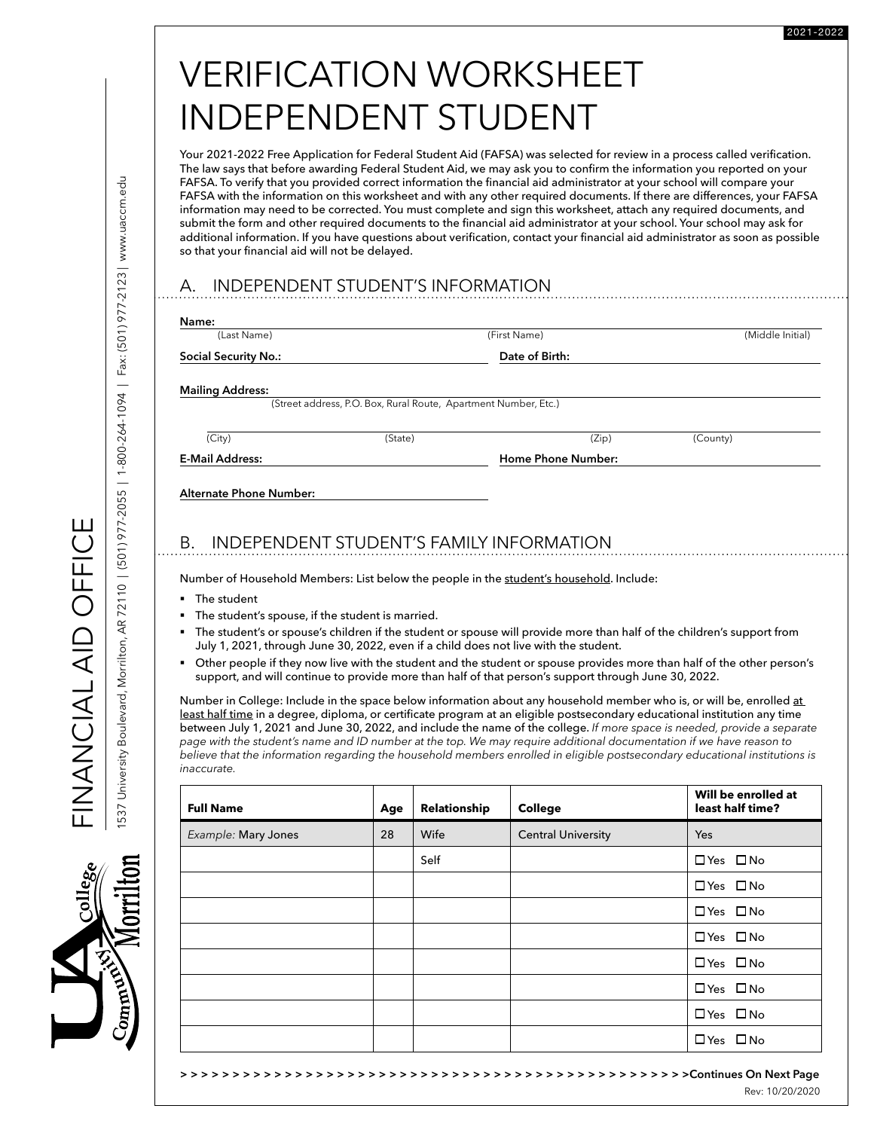# VERIFICATION WORKSHEET INDEPENDENT STUDENT

Your 2021-2022 Free Application for Federal Student Aid (FAFSA) was selected for review in a process called verification. The law says that before awarding Federal Student Aid, we may ask you to confirm the information you reported on your FAFSA. To verify that you provided correct information the financial aid administrator at your school will compare your FAFSA with the information on this worksheet and with any other required documents. If there are differences, your FAFSA information may need to be corrected. You must complete and sign this worksheet, attach any required documents, and submit the form and other required documents to the financial aid administrator at your school. Your school may ask for additional information. If you have questions about verification, contact your financial aid administrator as soon as possible so that your financial aid will not be delayed.

## A. INDEPENDENT STUDENT'S INFORMATION

| (Last Name)                             |                                                                 | (First Name)                                                                            | (Middle Initial) |
|-----------------------------------------|-----------------------------------------------------------------|-----------------------------------------------------------------------------------------|------------------|
| <b>Social Security No.:</b>             |                                                                 | Date of Birth:                                                                          |                  |
| <b>Mailing Address:</b>                 |                                                                 |                                                                                         |                  |
|                                         | (Street address, P.O. Box, Rural Route, Apartment Number, Etc.) |                                                                                         |                  |
| (City)                                  | (State)                                                         | (Zip)                                                                                   | (County)         |
| <b>E-Mail Address:</b>                  |                                                                 | Home Phone Number:                                                                      |                  |
|                                         |                                                                 |                                                                                         |                  |
|                                         | INDEPENDENT STUDENT'S FAMILY INFORMATION                        |                                                                                         |                  |
|                                         |                                                                 |                                                                                         |                  |
|                                         |                                                                 | Number of Household Members: List below the people in the student's household. Include: |                  |
| The student                             |                                                                 |                                                                                         |                  |
| Alternate Phone Number:<br>B.<br>٠<br>п | The student's spouse, if the student is married.                |                                                                                         |                  |

§ Other people if they now live with the student and the student or spouse provides more than half of the other person's support, and will continue to provide more than half of that person's support through June 30, 2022.

Number in College: Include in the space below information about any household member who is, or will be, enrolled at least half time in a degree, diploma, or certificate program at an eligible postsecondary educational institution any time between July 1, 2021 and June 30, 2022, and include the name of the college. *If more space is needed, provide a separate page with the student's name and ID number at the top. We may require additional documentation if we have reason to believe that the information regarding the household members enrolled in eligible postsecondary educational institutions is inaccurate.*

| <b>Full Name</b>    | Age | Relationship | <b>College</b>            | Will be enrolled at<br>least half time? |
|---------------------|-----|--------------|---------------------------|-----------------------------------------|
| Example: Mary Jones | 28  | Wife         | <b>Central University</b> | Yes                                     |
|                     |     | Self         |                           | $\Box$ Yes $\Box$ No                    |
|                     |     |              |                           | $\Box$ Yes $\Box$ No                    |
|                     |     |              |                           | $\Box$ Yes $\Box$ No                    |
|                     |     |              |                           | $\Box$ Yes $\Box$ No                    |
|                     |     |              |                           | $\Box$ Yes $\Box$ No                    |
|                     |     |              |                           | $\Box$ Yes $\Box$ No                    |
|                     |     |              |                           | $\Box$ Yes $\Box$ No                    |
|                     |     |              |                           | $\Box$ Yes $\Box$ No                    |

FINANCIAL AID OFFICE

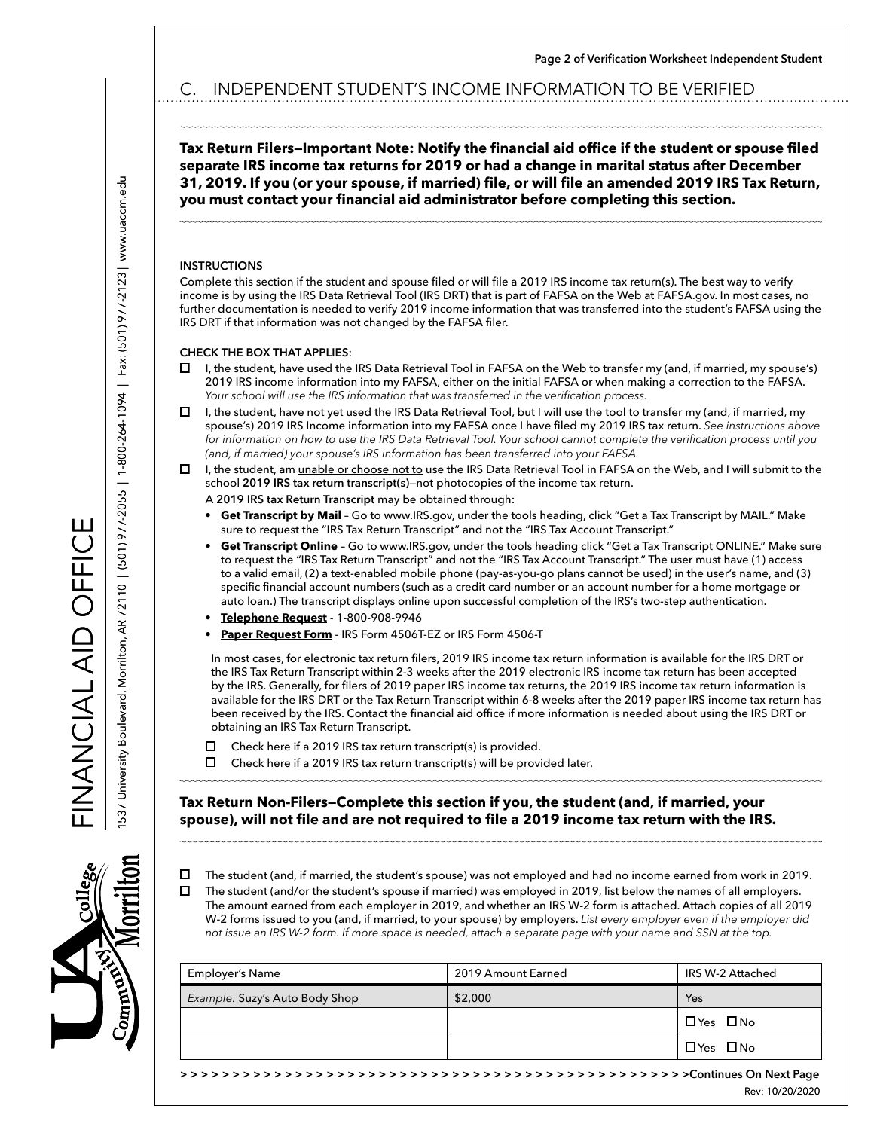## C. INDEPENDENT STUDENT'S INCOME INFORMATION TO BE VERIFIED

**Tax Return Filers—Important Note: Notify the financial aid office if the student or spouse filed separate IRS income tax returns for 2019 or had a change in marital status after December 31, 2019. If you (or your spouse, if married) file, or will file an amended 2019 IRS Tax Return, you must contact your financial aid administrator before completing this section.**

#### **INSTRUCTIONS**

Complete this section if the student and spouse filed or will file a 2019 IRS income tax return(s). The best way to verify income is by using the IRS Data Retrieval Tool (IRS DRT) that is part of FAFSA on the Web at FAFSA.gov. In most cases, no further documentation is needed to verify 2019 income information that was transferred into the student's FAFSA using the IRS DRT if that information was not changed by the FAFSA filer.

#### **CHECK THE BOX THAT APPLIES**:

- $\Box$ I, the student, have used the IRS Data Retrieval Tool in FAFSA on the Web to transfer my (and, if married, my spouse's) 2019 IRS income information into my FAFSA, either on the initial FAFSA or when making a correction to the FAFSA. *Your school will use the IRS information that was transferred in the verification process.*
- $\Box$ I, the student, have not yet used the IRS Data Retrieval Tool, but I will use the tool to transfer my (and, if married, my spouse's) 2019 IRS Income information into my FAFSA once I have filed my 2019 IRS tax return. *See instructions above for information on how to use the IRS Data Retrieval Tool. Your school cannot complete the verification process until you (and, if married) your spouse's IRS information has been transferred into your FAFSA.*
- $\Box$ I, the student, am unable or choose not to use the IRS Data Retrieval Tool in FAFSA on the Web, and I will submit to the school **2019 IRS tax return transcript(s)**—not photocopies of the income tax return.
	- A **2019 IRS tax Return Transcript** may be obtained through:
	- **• Get Transcript by Mail** Go to www.IRS.gov, under the tools heading, click "Get a Tax Transcript by MAIL." Make sure to request the "IRS Tax Return Transcript" and not the "IRS Tax Account Transcript."
	- **• Get Transcript Online** Go to www.IRS.gov, under the tools heading click "Get a Tax Transcript ONLINE." Make sure to request the "IRS Tax Return Transcript" and not the "IRS Tax Account Transcript." The user must have (1) access to a valid email, (2) a text-enabled mobile phone (pay-as-you-go plans cannot be used) in the user's name, and (3) specific financial account numbers (such as a credit card number or an account number for a home mortgage or auto loan.) The transcript displays online upon successful completion of the IRS's two-step authentication.
	- **• Telephone Request** 1-800-908-9946
	- **• Paper Request Form** IRS Form 4506T-EZ or IRS Form 4506-T

In most cases, for electronic tax return filers, 2019 IRS income tax return information is available for the IRS DRT or the IRS Tax Return Transcript within 2-3 weeks after the 2019 electronic IRS income tax return has been accepted by the IRS. Generally, for filers of 2019 paper IRS income tax returns, the 2019 IRS income tax return information is available for the IRS DRT or the Tax Return Transcript within 6-8 weeks after the 2019 paper IRS income tax return has been received by the IRS. Contact the financial aid office if more information is needed about using the IRS DRT or obtaining an IRS Tax Return Transcript.

- Check here if a 2019 IRS tax return transcript(s) is provided. □
- $\Box$ Check here if a 2019 IRS tax return transcript(s) will be provided later.

### **Tax Return Non-Filers—Complete this section if you, the student (and, if married, your spouse), will not file and are not required to file a 2019 income tax return with the IRS.**



□ The student (and, if married, the student's spouse) was not employed and had no income earned from work in 2019.  $\Box$ The student (and/or the student's spouse if married) was employed in 2019, list below the names of all employers. The amount earned from each employer in 2019, and whether an IRS W-2 form is attached. Attach copies of all 2019 W-2 forms issued to you (and, if married, to your spouse) by employers. *List every employer even if the employer did not issue an IRS W-2 form. If more space is needed, attach a separate page with your name and SSN at the top.*

| <b>Employer's Name</b>         | 2019 Amount Earned | IRS W-2 Attached           |
|--------------------------------|--------------------|----------------------------|
| Example: Suzy's Auto Body Shop | \$2,000            | Yes                        |
|                                |                    | $\Box$ Yes $\Box$ No       |
|                                |                    | $\square$ Yes $\square$ No |